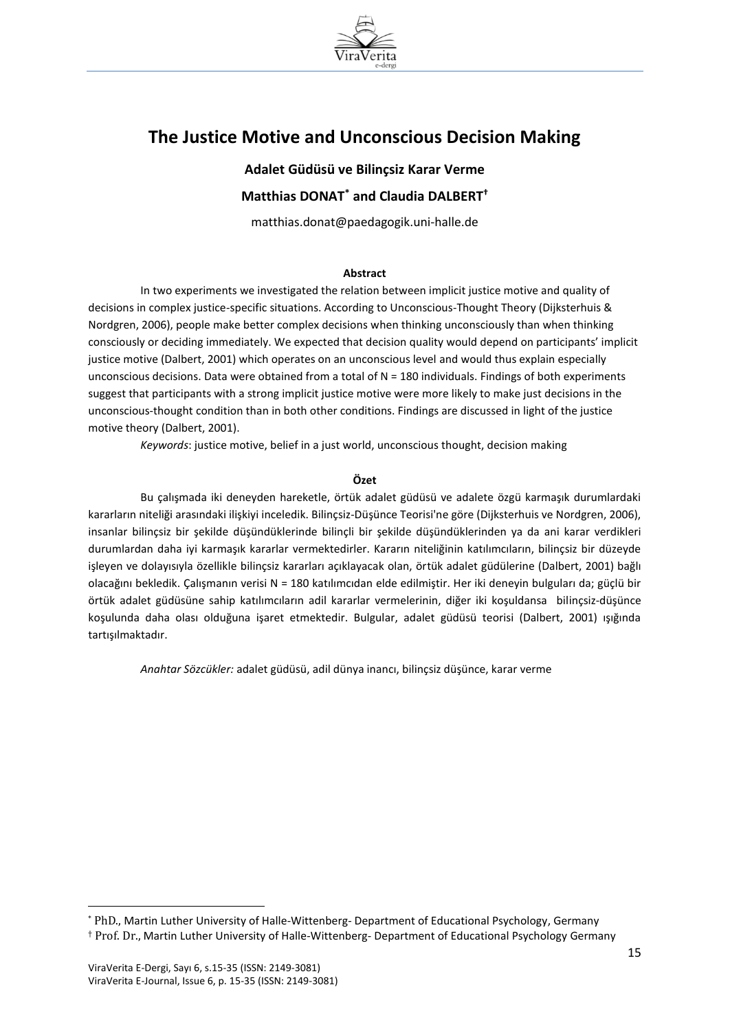

# **The Justice Motive and Unconscious Decision Making**

**Adalet Güdüsü ve Bilinçsiz Karar Verme Matthias DONAT\* and Claudia DALBERT†**

matthias.donat@paedagogik.uni-halle.de

#### **Abstract**

In two experiments we investigated the relation between implicit justice motive and quality of decisions in complex justice-specific situations. According to Unconscious-Thought Theory (Dijksterhuis & Nordgren, 2006), people make better complex decisions when thinking unconsciously than when thinking consciously or deciding immediately. We expected that decision quality would depend on participants' implicit justice motive (Dalbert, 2001) which operates on an unconscious level and would thus explain especially unconscious decisions. Data were obtained from a total of N = 180 individuals. Findings of both experiments suggest that participants with a strong implicit justice motive were more likely to make just decisions in the unconscious-thought condition than in both other conditions. Findings are discussed in light of the justice motive theory (Dalbert, 2001).

*Keywords*: justice motive, belief in a just world, unconscious thought, decision making

#### **Özet**

Bu çalışmada iki deneyden hareketle, örtük adalet güdüsü ve adalete özgü karmaşık durumlardaki kararların niteliği arasındaki ilişkiyi inceledik. Bilinçsiz-Düşünce Teorisi'ne göre (Dijksterhuis ve Nordgren, 2006), insanlar bilinçsiz bir şekilde düşündüklerinde bilinçli bir şekilde düşündüklerinden ya da ani karar verdikleri durumlardan daha iyi karmaşık kararlar vermektedirler. Kararın niteliğinin katılımcıların, bilinçsiz bir düzeyde işleyen ve dolayısıyla özellikle bilinçsiz kararları açıklayacak olan, örtük adalet güdülerine (Dalbert, 2001) bağlı olacağını bekledik. Çalışmanın verisi N = 180 katılımcıdan elde edilmiştir. Her iki deneyin bulguları da; güçlü bir örtük adalet güdüsüne sahip katılımcıların adil kararlar vermelerinin, diğer iki koşuldansa bilinçsiz-düşünce koşulunda daha olası olduğuna işaret etmektedir. Bulgular, adalet güdüsü teorisi (Dalbert, 2001) ışığında tartışılmaktadır.

*Anahtar Sözcükler:* adalet güdüsü, adil dünya inancı, bilinçsiz düşünce, karar verme

 $\overline{a}$ 

<sup>\*</sup> PhD., Martin Luther University of Halle-Wittenberg- Department of Educational Psychology, Germany

<sup>†</sup> Prof. Dr., Martin Luther University of Halle-Wittenberg- Department of Educational Psychology Germany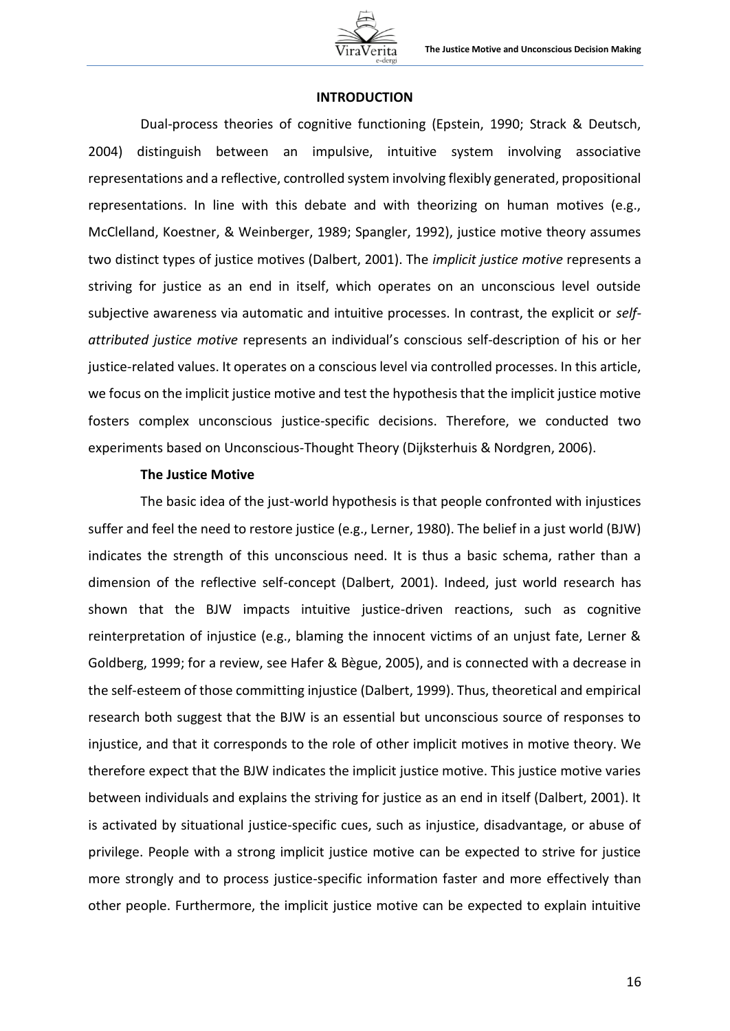

### **INTRODUCTION**

Dual-process theories of cognitive functioning (Epstein, 1990; Strack & Deutsch, 2004) distinguish between an impulsive, intuitive system involving associative representations and a reflective, controlled system involving flexibly generated, propositional representations. In line with this debate and with theorizing on human motives (e.g., McClelland, Koestner, & Weinberger, 1989; Spangler, 1992), justice motive theory assumes two distinct types of justice motives (Dalbert, 2001). The *implicit justice motive* represents a striving for justice as an end in itself, which operates on an unconscious level outside subjective awareness via automatic and intuitive processes. In contrast, the explicit or *selfattributed justice motive* represents an individual's conscious self-description of his or her justice-related values. It operates on a conscious level via controlled processes. In this article, we focus on the implicit justice motive and test the hypothesis that the implicit justice motive fosters complex unconscious justice-specific decisions. Therefore, we conducted two experiments based on Unconscious-Thought Theory (Dijksterhuis & Nordgren, 2006).

#### **The Justice Motive**

The basic idea of the just-world hypothesis is that people confronted with injustices suffer and feel the need to restore justice (e.g., Lerner, 1980). The belief in a just world (BJW) indicates the strength of this unconscious need. It is thus a basic schema, rather than a dimension of the reflective self-concept (Dalbert, 2001). Indeed, just world research has shown that the BJW impacts intuitive justice-driven reactions, such as cognitive reinterpretation of injustice (e.g., blaming the innocent victims of an unjust fate, Lerner & Goldberg, 1999; for a review, see Hafer & Bègue, 2005), and is connected with a decrease in the self-esteem of those committing injustice (Dalbert, 1999). Thus, theoretical and empirical research both suggest that the BJW is an essential but unconscious source of responses to injustice, and that it corresponds to the role of other implicit motives in motive theory. We therefore expect that the BJW indicates the implicit justice motive. This justice motive varies between individuals and explains the striving for justice as an end in itself (Dalbert, 2001). It is activated by situational justice-specific cues, such as injustice, disadvantage, or abuse of privilege. People with a strong implicit justice motive can be expected to strive for justice more strongly and to process justice-specific information faster and more effectively than other people. Furthermore, the implicit justice motive can be expected to explain intuitive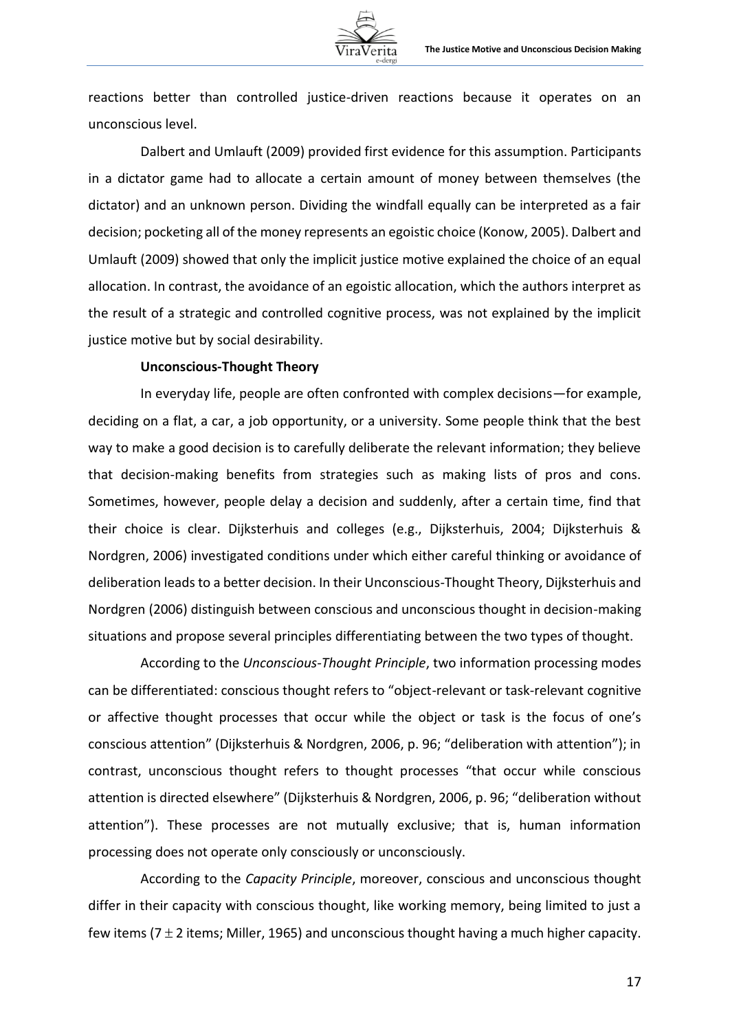reactions better than controlled justice-driven reactions because it operates on an unconscious level.

Dalbert and Umlauft (2009) provided first evidence for this assumption. Participants in a dictator game had to allocate a certain amount of money between themselves (the dictator) and an unknown person. Dividing the windfall equally can be interpreted as a fair decision; pocketing all of the money represents an egoistic choice (Konow, 2005). Dalbert and Umlauft (2009) showed that only the implicit justice motive explained the choice of an equal allocation. In contrast, the avoidance of an egoistic allocation, which the authors interpret as the result of a strategic and controlled cognitive process, was not explained by the implicit justice motive but by social desirability.

# **Unconscious-Thought Theory**

In everyday life, people are often confronted with complex decisions—for example, deciding on a flat, a car, a job opportunity, or a university. Some people think that the best way to make a good decision is to carefully deliberate the relevant information; they believe that decision-making benefits from strategies such as making lists of pros and cons. Sometimes, however, people delay a decision and suddenly, after a certain time, find that their choice is clear. Dijksterhuis and colleges (e.g., Dijksterhuis, 2004; Dijksterhuis & Nordgren, 2006) investigated conditions under which either careful thinking or avoidance of deliberation leads to a better decision. In their Unconscious-Thought Theory, Dijksterhuis and Nordgren (2006) distinguish between conscious and unconscious thought in decision-making situations and propose several principles differentiating between the two types of thought.

According to the *Unconscious-Thought Principle*, two information processing modes can be differentiated: conscious thought refers to "object-relevant or task-relevant cognitive or affective thought processes that occur while the object or task is the focus of one's conscious attention" (Dijksterhuis & Nordgren, 2006, p. 96; "deliberation with attention"); in contrast, unconscious thought refers to thought processes "that occur while conscious attention is directed elsewhere" (Dijksterhuis & Nordgren, 2006, p. 96; "deliberation without attention"). These processes are not mutually exclusive; that is, human information processing does not operate only consciously or unconsciously.

According to the *Capacity Principle*, moreover, conscious and unconscious thought differ in their capacity with conscious thought, like working memory, being limited to just a few items (7  $\pm$  2 items; Miller, 1965) and unconscious thought having a much higher capacity.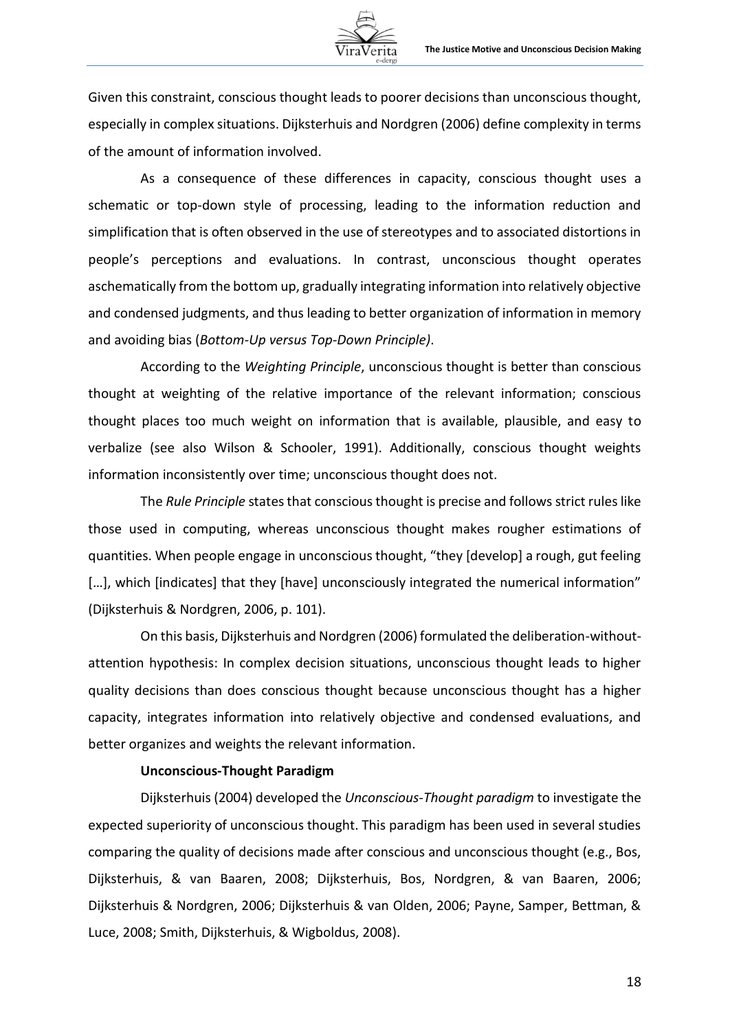

Given this constraint, conscious thought leads to poorer decisions than unconscious thought, especially in complex situations. Dijksterhuis and Nordgren (2006) define complexity in terms of the amount of information involved.

As a consequence of these differences in capacity, conscious thought uses a schematic or top-down style of processing, leading to the information reduction and simplification that is often observed in the use of stereotypes and to associated distortions in people's perceptions and evaluations. In contrast, unconscious thought operates aschematically from the bottom up, gradually integrating information into relatively objective and condensed judgments, and thus leading to better organization of information in memory and avoiding bias (*Bottom-Up versus Top-Down Principle)*.

According to the *Weighting Principle*, unconscious thought is better than conscious thought at weighting of the relative importance of the relevant information; conscious thought places too much weight on information that is available, plausible, and easy to verbalize (see also Wilson & Schooler, 1991). Additionally, conscious thought weights information inconsistently over time; unconscious thought does not.

The *Rule Principle* states that conscious thought is precise and follows strict rules like those used in computing, whereas unconscious thought makes rougher estimations of quantities. When people engage in unconscious thought, "they [develop] a rough, gut feeling [...], which [indicates] that they [have] unconsciously integrated the numerical information" (Dijksterhuis & Nordgren, 2006, p. 101).

On this basis, Dijksterhuis and Nordgren (2006) formulated the deliberation-withoutattention hypothesis: In complex decision situations, unconscious thought leads to higher quality decisions than does conscious thought because unconscious thought has a higher capacity, integrates information into relatively objective and condensed evaluations, and better organizes and weights the relevant information.

## **Unconscious-Thought Paradigm**

Dijksterhuis (2004) developed the *Unconscious-Thought paradigm* to investigate the expected superiority of unconscious thought. This paradigm has been used in several studies comparing the quality of decisions made after conscious and unconscious thought (e.g., Bos, Dijksterhuis, & van Baaren, 2008; Dijksterhuis, Bos, Nordgren, & van Baaren, 2006; Dijksterhuis & Nordgren, 2006; Dijksterhuis & van Olden, 2006; Payne, Samper, Bettman, & Luce, 2008; Smith, Dijksterhuis, & Wigboldus, 2008).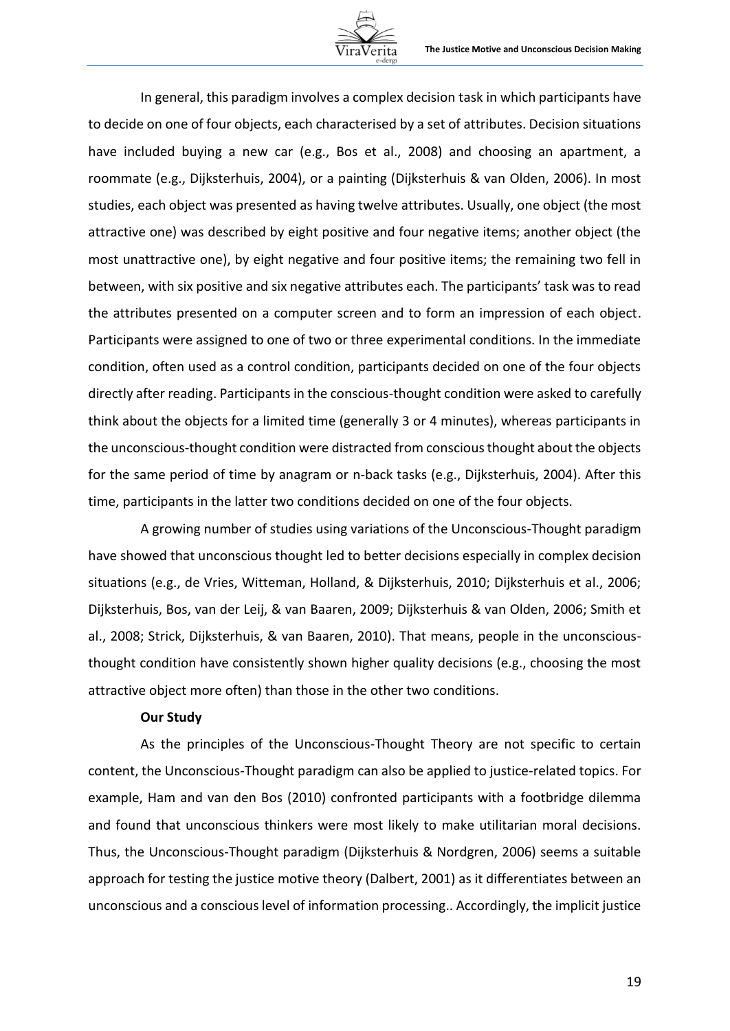

In general, this paradigm involves a complex decision task in which participants have to decide on one of four objects, each characterised by a set of attributes. Decision situations have included buying a new car (e.g., Bos et al., 2008) and choosing an apartment, a roommate (e.g., Dijksterhuis, 2004), or a painting (Dijksterhuis & van Olden, 2006). In most studies, each object was presented as having twelve attributes. Usually, one object (the most attractive one) was described by eight positive and four negative items; another object (the most unattractive one), by eight negative and four positive items; the remaining two fell in between, with six positive and six negative attributes each. The participants' task was to read the attributes presented on a computer screen and to form an impression of each object. Participants were assigned to one of two or three experimental conditions. In the immediate condition, often used as a control condition, participants decided on one of the four objects directly after reading. Participants in the conscious-thought condition were asked to carefully think about the objects for a limited time (generally 3 or 4 minutes), whereas participants in the unconscious-thought condition were distracted from conscious thought about the objects for the same period of time by anagram or n-back tasks (e.g., Dijksterhuis, 2004). After this time, participants in the latter two conditions decided on one of the four objects.

A growing number of studies using variations of the Unconscious-Thought paradigm have showed that unconscious thought led to better decisions especially in complex decision situations (e.g., de Vries, Witteman, Holland, & Dijksterhuis, 2010; Dijksterhuis et al., 2006; Dijksterhuis, Bos, van der Leij, & van Baaren, 2009; Dijksterhuis & van Olden, 2006; Smith et al., 2008; Strick, Dijksterhuis, & van Baaren, 2010). That means, people in the unconsciousthought condition have consistently shown higher quality decisions (e.g., choosing the most attractive object more often) than those in the other two conditions.

#### **Our Study**

As the principles of the Unconscious-Thought Theory are not specific to certain content, the Unconscious-Thought paradigm can also be applied to justice-related topics. For example, Ham and van den Bos (2010) confronted participants with a footbridge dilemma and found that unconscious thinkers were most likely to make utilitarian moral decisions. Thus, the Unconscious-Thought paradigm (Dijksterhuis & Nordgren, 2006) seems a suitable approach for testing the justice motive theory (Dalbert, 2001) as it differentiates between an unconscious and a conscious level of information processing.. Accordingly, the implicit justice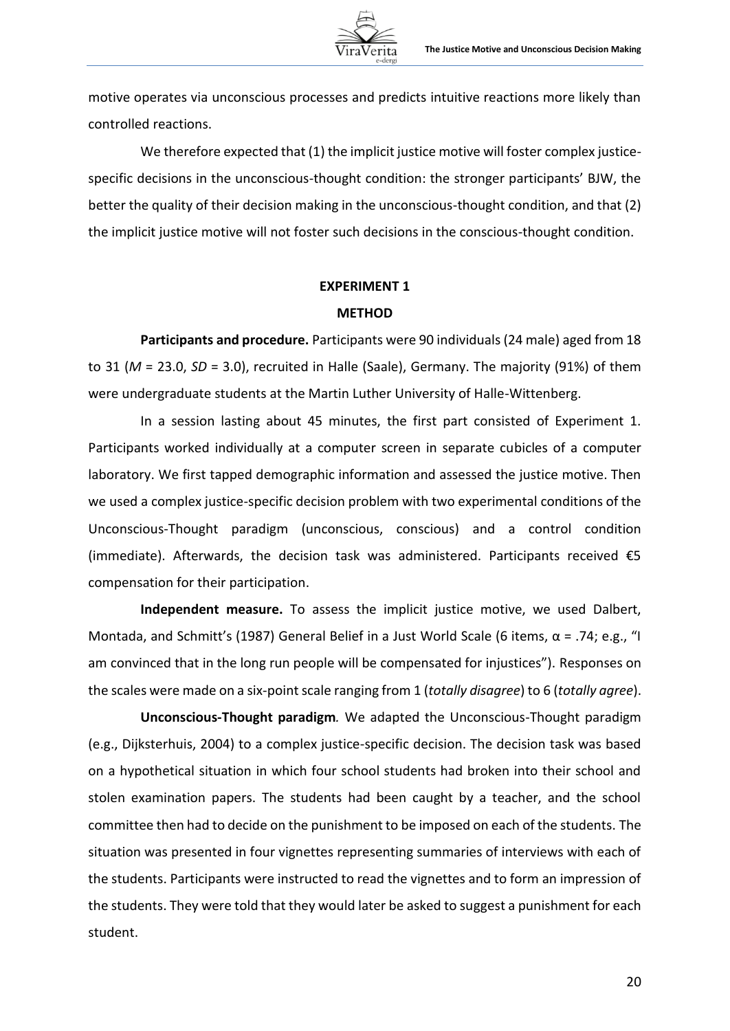motive operates via unconscious processes and predicts intuitive reactions more likely than controlled reactions.

We therefore expected that (1) the implicit justice motive will foster complex justicespecific decisions in the unconscious-thought condition: the stronger participants' BJW, the better the quality of their decision making in the unconscious-thought condition, and that (2) the implicit justice motive will not foster such decisions in the conscious-thought condition.

# **EXPERIMENT 1**

## **METHOD**

**Participants and procedure.** Participants were 90 individuals (24 male) aged from 18 to 31 (*M* = 23.0, *SD* = 3.0), recruited in Halle (Saale), Germany. The majority (91%) of them were undergraduate students at the Martin Luther University of Halle-Wittenberg.

In a session lasting about 45 minutes, the first part consisted of Experiment 1. Participants worked individually at a computer screen in separate cubicles of a computer laboratory. We first tapped demographic information and assessed the justice motive. Then we used a complex justice-specific decision problem with two experimental conditions of the Unconscious-Thought paradigm (unconscious, conscious) and a control condition (immediate). Afterwards, the decision task was administered. Participants received  $\epsilon$ 5 compensation for their participation.

**Independent measure.** To assess the implicit justice motive, we used Dalbert, Montada, and Schmitt's (1987) General Belief in a Just World Scale (6 items,  $\alpha$  = .74; e.g., "I am convinced that in the long run people will be compensated for injustices"). Responses on the scales were made on a six-point scale ranging from 1 (*totally disagree*) to 6 (*totally agree*).

**Unconscious-Thought paradigm***.* We adapted the Unconscious-Thought paradigm (e.g., Dijksterhuis, 2004) to a complex justice-specific decision. The decision task was based on a hypothetical situation in which four school students had broken into their school and stolen examination papers. The students had been caught by a teacher, and the school committee then had to decide on the punishment to be imposed on each of the students. The situation was presented in four vignettes representing summaries of interviews with each of the students. Participants were instructed to read the vignettes and to form an impression of the students. They were told that they would later be asked to suggest a punishment for each student.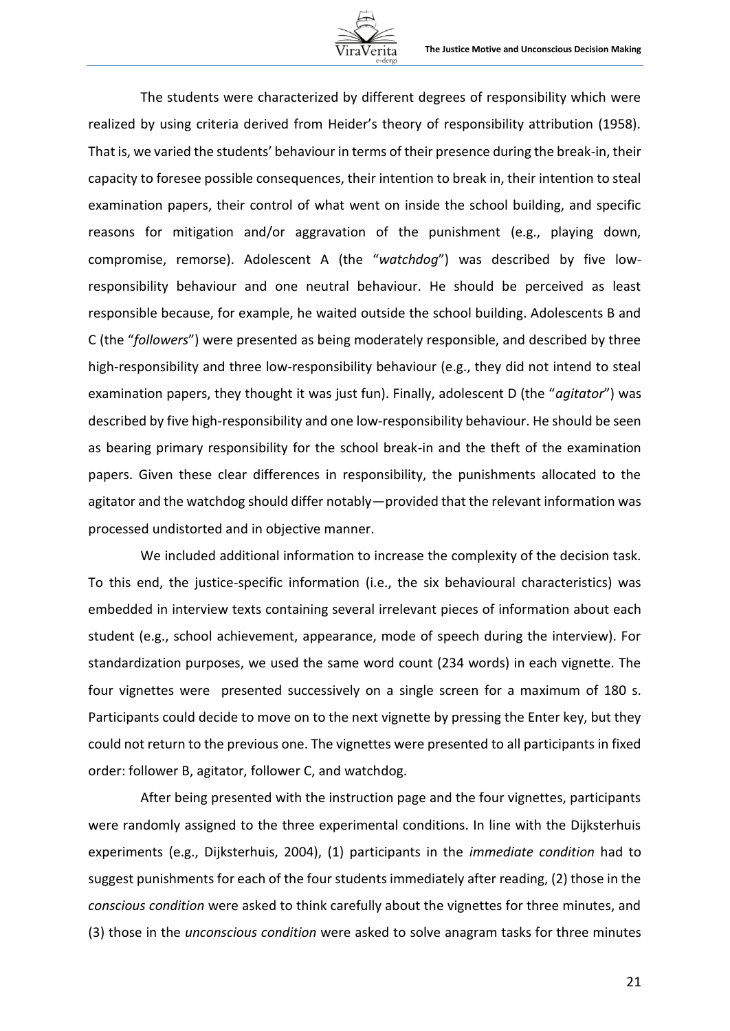

The students were characterized by different degrees of responsibility which were realized by using criteria derived from Heider's theory of responsibility attribution (1958). That is, we varied the students' behaviour in terms of their presence during the break-in, their capacity to foresee possible consequences, their intention to break in, their intention to steal examination papers, their control of what went on inside the school building, and specific reasons for mitigation and/or aggravation of the punishment (e.g., playing down, compromise, remorse). Adolescent A (the "*watchdog*") was described by five lowresponsibility behaviour and one neutral behaviour. He should be perceived as least responsible because, for example, he waited outside the school building. Adolescents B and C (the "*followers*") were presented as being moderately responsible, and described by three high-responsibility and three low-responsibility behaviour (e.g., they did not intend to steal examination papers, they thought it was just fun). Finally, adolescent D (the "*agitator*") was described by five high-responsibility and one low-responsibility behaviour. He should be seen as bearing primary responsibility for the school break-in and the theft of the examination papers. Given these clear differences in responsibility, the punishments allocated to the agitator and the watchdog should differ notably—provided that the relevant information was processed undistorted and in objective manner.

We included additional information to increase the complexity of the decision task. To this end, the justice-specific information (i.e., the six behavioural characteristics) was embedded in interview texts containing several irrelevant pieces of information about each student (e.g., school achievement, appearance, mode of speech during the interview). For standardization purposes, we used the same word count (234 words) in each vignette. The four vignettes were presented successively on a single screen for a maximum of 180 s. Participants could decide to move on to the next vignette by pressing the Enter key, but they could not return to the previous one. The vignettes were presented to all participants in fixed order: follower B, agitator, follower C, and watchdog.

After being presented with the instruction page and the four vignettes, participants were randomly assigned to the three experimental conditions. In line with the Dijksterhuis experiments (e.g., Dijksterhuis, 2004), (1) participants in the *immediate condition* had to suggest punishments for each of the four students immediately after reading, (2) those in the *conscious condition* were asked to think carefully about the vignettes for three minutes, and (3) those in the *unconscious condition* were asked to solve anagram tasks for three minutes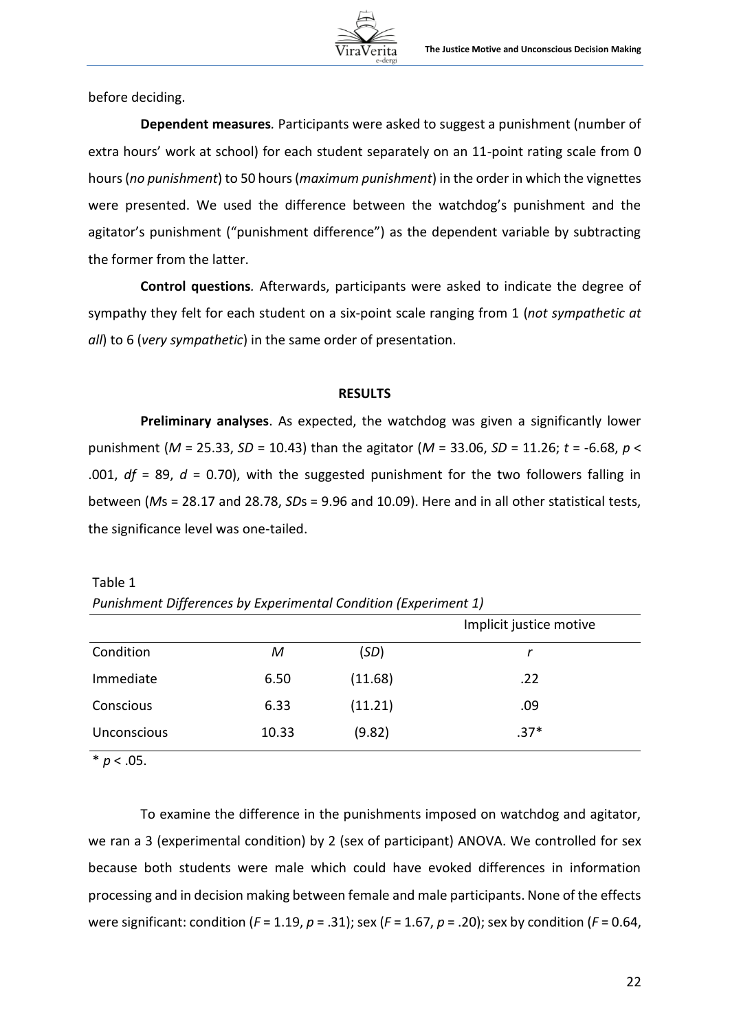

before deciding.

**Dependent measures***.* Participants were asked to suggest a punishment (number of extra hours' work at school) for each student separately on an 11-point rating scale from 0 hours (*no punishment*) to 50 hours (*maximum punishment*) in the order in which the vignettes were presented. We used the difference between the watchdog's punishment and the agitator's punishment ("punishment difference") as the dependent variable by subtracting the former from the latter.

**Control questions***.* Afterwards, participants were asked to indicate the degree of sympathy they felt for each student on a six-point scale ranging from 1 (*not sympathetic at all*) to 6 (*very sympathetic*) in the same order of presentation.

# **RESULTS**

**Preliminary analyses**. As expected, the watchdog was given a significantly lower punishment (*M* = 25.33, *SD* = 10.43) than the agitator (*M* = 33.06, *SD* = 11.26; *t* = -6.68, *p* < .001, *df* = 89, *d* = 0.70), with the suggested punishment for the two followers falling in between (*M*s = 28.17 and 28.78, *SD*s = 9.96 and 10.09). Here and in all other statistical tests, the significance level was one-tailed.

Table 1 *Punishment Differences by Experimental Condition (Experiment 1)*

|                    | . . | $\sqrt{ }$ |         |                         |
|--------------------|-----|------------|---------|-------------------------|
|                    |     |            |         | Implicit justice motive |
| Condition          |     | M          | (SD)    |                         |
| Immediate          |     | 6.50       | (11.68) | .22                     |
| Conscious          |     | 6.33       | (11.21) | .09                     |
| <b>Unconscious</b> |     | 10.33      | (9.82)  | $.37*$                  |

 $* p < .05.$ 

To examine the difference in the punishments imposed on watchdog and agitator, we ran a 3 (experimental condition) by 2 (sex of participant) ANOVA. We controlled for sex because both students were male which could have evoked differences in information processing and in decision making between female and male participants. None of the effects were significant: condition (*F* = 1.19, *p* = .31); sex (*F* = 1.67, *p* = .20); sex by condition (*F* = 0.64,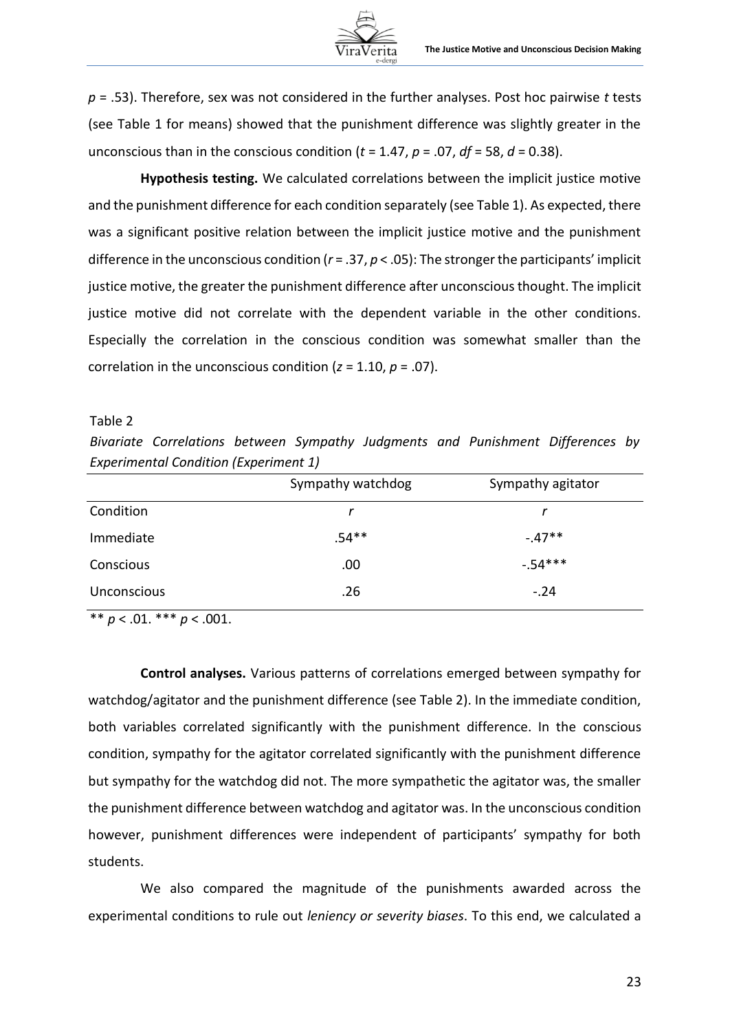*p* = .53). Therefore, sex was not considered in the further analyses. Post hoc pairwise *t* tests (see Table 1 for means) showed that the punishment difference was slightly greater in the unconscious than in the conscious condition ( $t = 1.47$ ,  $p = .07$ ,  $df = 58$ ,  $d = 0.38$ ).

**Hypothesis testing.** We calculated correlations between the implicit justice motive and the punishment difference for each condition separately (see Table 1). As expected, there was a significant positive relation between the implicit justice motive and the punishment difference in the unconscious condition (*r* = .37, *p* < .05): The stronger the participants' implicit justice motive, the greater the punishment difference after unconscious thought. The implicit justice motive did not correlate with the dependent variable in the other conditions. Especially the correlation in the conscious condition was somewhat smaller than the correlation in the unconscious condition (*z* = 1.10, *p* = .07).

#### Table 2

*Bivariate Correlations between Sympathy Judgments and Punishment Differences by Experimental Condition (Experiment 1)*

|                    | Sympathy watchdog | Sympathy agitator |
|--------------------|-------------------|-------------------|
| Condition          |                   |                   |
| Immediate          | $.54**$           | $-.47**$          |
| Conscious          | .00               | $-.54***$         |
| <b>Unconscious</b> | .26               | $-.24$            |

 $** p < .01.$  \*\*\*  $p < .001.$ 

**Control analyses.** Various patterns of correlations emerged between sympathy for watchdog/agitator and the punishment difference (see Table 2). In the immediate condition, both variables correlated significantly with the punishment difference. In the conscious condition, sympathy for the agitator correlated significantly with the punishment difference but sympathy for the watchdog did not. The more sympathetic the agitator was, the smaller the punishment difference between watchdog and agitator was. In the unconscious condition however, punishment differences were independent of participants' sympathy for both students.

We also compared the magnitude of the punishments awarded across the experimental conditions to rule out *leniency or severity biases*. To this end, we calculated a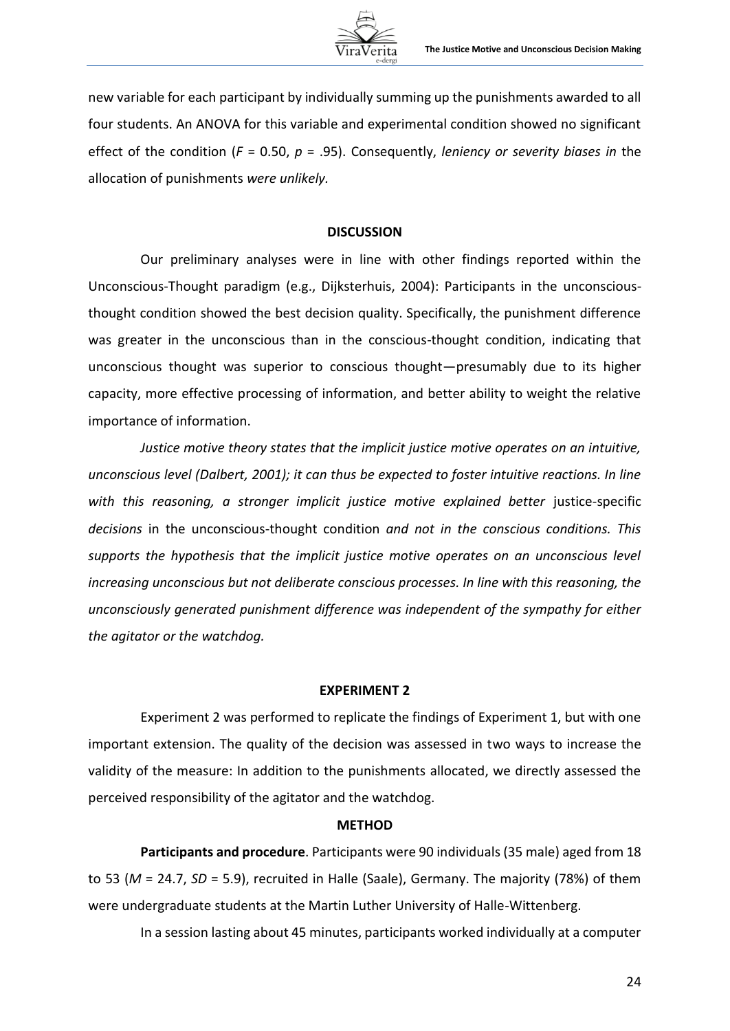

new variable for each participant by individually summing up the punishments awarded to all four students. An ANOVA for this variable and experimental condition showed no significant effect of the condition (*F* = 0.50, *p* = .95). Consequently, *leniency or severity biases in* the allocation of punishments *were unlikely.*

## **DISCUSSION**

Our preliminary analyses were in line with other findings reported within the Unconscious-Thought paradigm (e.g., Dijksterhuis, 2004): Participants in the unconsciousthought condition showed the best decision quality. Specifically, the punishment difference was greater in the unconscious than in the conscious-thought condition, indicating that unconscious thought was superior to conscious thought—presumably due to its higher capacity, more effective processing of information, and better ability to weight the relative importance of information.

*Justice motive theory states that the implicit justice motive operates on an intuitive, unconscious level (Dalbert, 2001); it can thus be expected to foster intuitive reactions. In line*  with this reasoning, a stronger implicit justice motive explained better justice-specific *decisions* in the unconscious-thought condition *and not in the conscious conditions. This supports the hypothesis that the implicit justice motive operates on an unconscious level increasing unconscious but not deliberate conscious processes. In line with this reasoning, the unconsciously generated punishment difference was independent of the sympathy for either the agitator or the watchdog.* 

#### **EXPERIMENT 2**

Experiment 2 was performed to replicate the findings of Experiment 1, but with one important extension. The quality of the decision was assessed in two ways to increase the validity of the measure: In addition to the punishments allocated, we directly assessed the perceived responsibility of the agitator and the watchdog.

### **METHOD**

**Participants and procedure**. Participants were 90 individuals (35 male) aged from 18 to 53 (*M* = 24.7, *SD* = 5.9), recruited in Halle (Saale), Germany. The majority (78%) of them were undergraduate students at the Martin Luther University of Halle-Wittenberg.

In a session lasting about 45 minutes, participants worked individually at a computer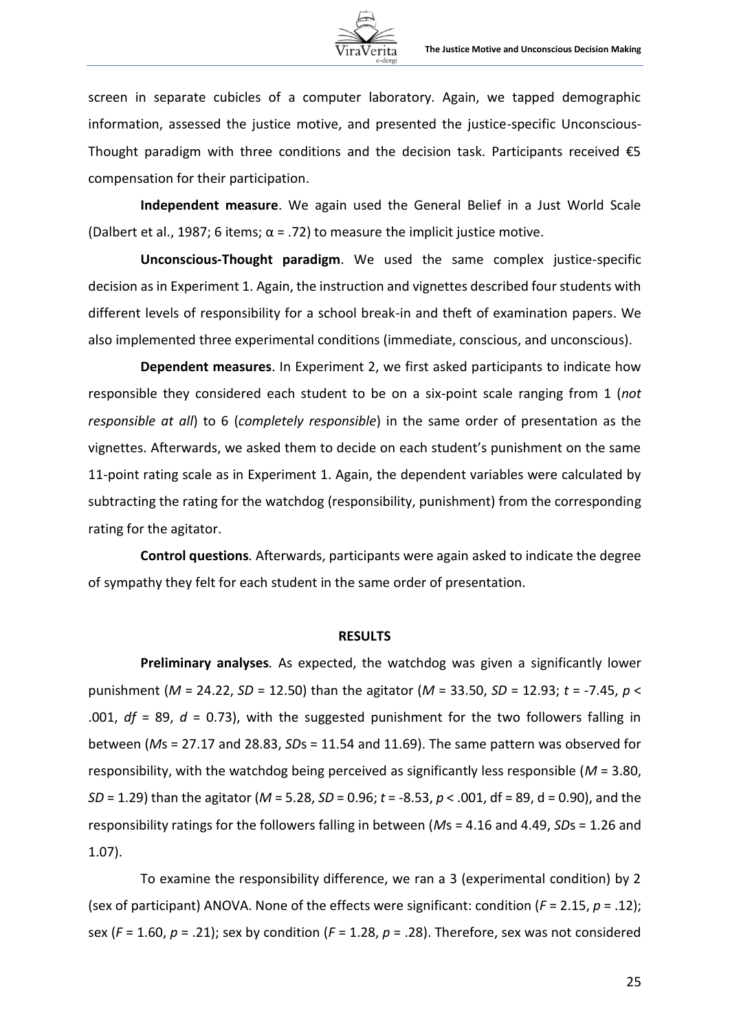

screen in separate cubicles of a computer laboratory. Again, we tapped demographic information, assessed the justice motive, and presented the justice-specific Unconscious-Thought paradigm with three conditions and the decision task. Participants received  $\epsilon$ 5 compensation for their participation.

**Independent measure**. We again used the General Belief in a Just World Scale (Dalbert et al., 1987; 6 items;  $\alpha$  = .72) to measure the implicit justice motive.

**Unconscious-Thought paradigm**. We used the same complex justice-specific decision as in Experiment 1. Again, the instruction and vignettes described four students with different levels of responsibility for a school break-in and theft of examination papers. We also implemented three experimental conditions (immediate, conscious, and unconscious).

**Dependent measures**. In Experiment 2, we first asked participants to indicate how responsible they considered each student to be on a six-point scale ranging from 1 (*not responsible at all*) to 6 (*completely responsible*) in the same order of presentation as the vignettes. Afterwards, we asked them to decide on each student's punishment on the same 11-point rating scale as in Experiment 1. Again, the dependent variables were calculated by subtracting the rating for the watchdog (responsibility, punishment) from the corresponding rating for the agitator.

**Control questions***.* Afterwards, participants were again asked to indicate the degree of sympathy they felt for each student in the same order of presentation.

#### **RESULTS**

**Preliminary analyses***.* As expected, the watchdog was given a significantly lower punishment (*M* = 24.22, *SD* = 12.50) than the agitator (*M* = 33.50, *SD* = 12.93; *t* = -7.45, *p* < .001, *df* = 89, *d* = 0.73), with the suggested punishment for the two followers falling in between (*M*s = 27.17 and 28.83, *SD*s = 11.54 and 11.69). The same pattern was observed for responsibility, with the watchdog being perceived as significantly less responsible (*M* = 3.80, *SD* = 1.29) than the agitator (*M* = 5.28, *SD* = 0.96; *t* = -8.53, *p* < .001, df = 89, d = 0.90), and the responsibility ratings for the followers falling in between (*M*s = 4.16 and 4.49, *SD*s = 1.26 and 1.07).

To examine the responsibility difference, we ran a 3 (experimental condition) by 2 (sex of participant) ANOVA. None of the effects were significant: condition (*F* = 2.15, *p* = .12); sex (*F* = 1.60, *p* = .21); sex by condition (*F* = 1.28, *p* = .28). Therefore, sex was not considered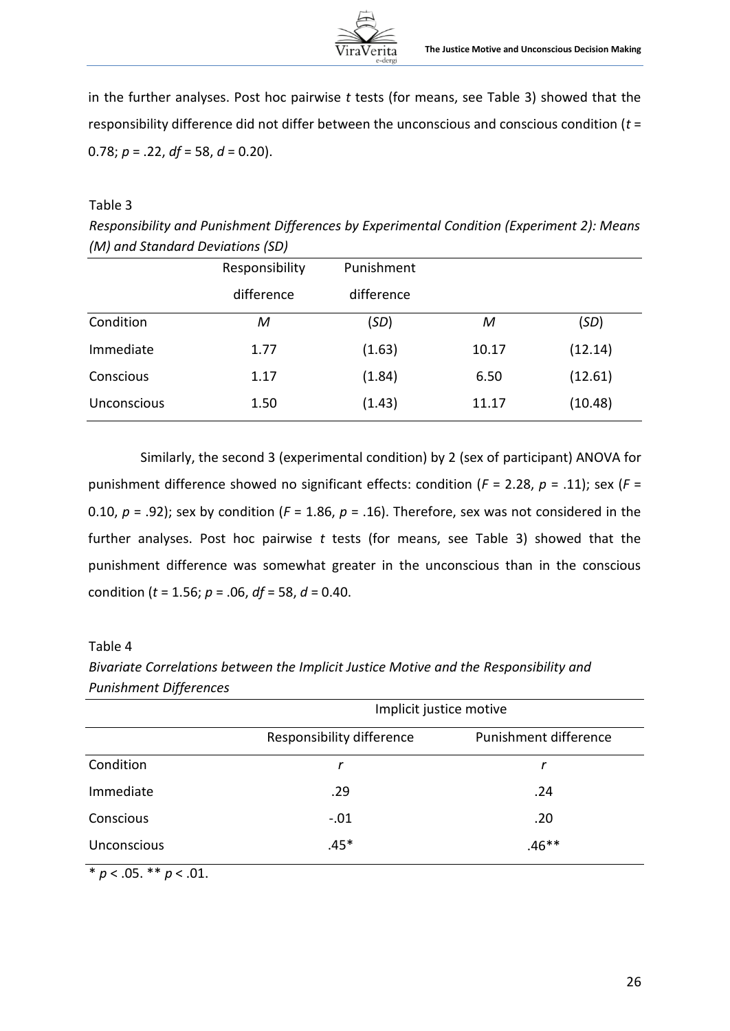

in the further analyses. Post hoc pairwise *t* tests (for means, see Table 3) showed that the responsibility difference did not differ between the unconscious and conscious condition (*t* = 0.78; *p* = .22, *df* = 58, *d* = 0.20).

# Table 3

*Responsibility and Punishment Differences by Experimental Condition (Experiment 2): Means (M) and Standard Deviations (SD)*

|             | Responsibility | Punishment |       |         |
|-------------|----------------|------------|-------|---------|
|             | difference     | difference |       |         |
| Condition   | М              | (SD)       | M     | (SD)    |
| Immediate   | 1.77           | (1.63)     | 10.17 | (12.14) |
| Conscious   | 1.17           | (1.84)     | 6.50  | (12.61) |
| Unconscious | 1.50           | (1.43)     | 11.17 | (10.48) |

Similarly, the second 3 (experimental condition) by 2 (sex of participant) ANOVA for punishment difference showed no significant effects: condition (*F* = 2.28, *p* = .11); sex (*F* = 0.10,  $p = .92$ ); sex by condition ( $F = 1.86$ ,  $p = .16$ ). Therefore, sex was not considered in the further analyses. Post hoc pairwise *t* tests (for means, see Table 3) showed that the punishment difference was somewhat greater in the unconscious than in the conscious condition (*t* = 1.56; *p* = .06, *df* = 58, *d* = 0.40.

# Table 4

*Bivariate Correlations between the Implicit Justice Motive and the Responsibility and Punishment Differences*

|                    | Implicit justice motive   |                       |  |
|--------------------|---------------------------|-----------------------|--|
|                    | Responsibility difference | Punishment difference |  |
| Condition          | r                         |                       |  |
| Immediate          | .29                       | .24                   |  |
| Conscious          | $-.01$                    | .20                   |  |
| <b>Unconscious</b> | $.46**$<br>$.45*$         |                       |  |

\* *p* < .05. \*\* *p* < .01.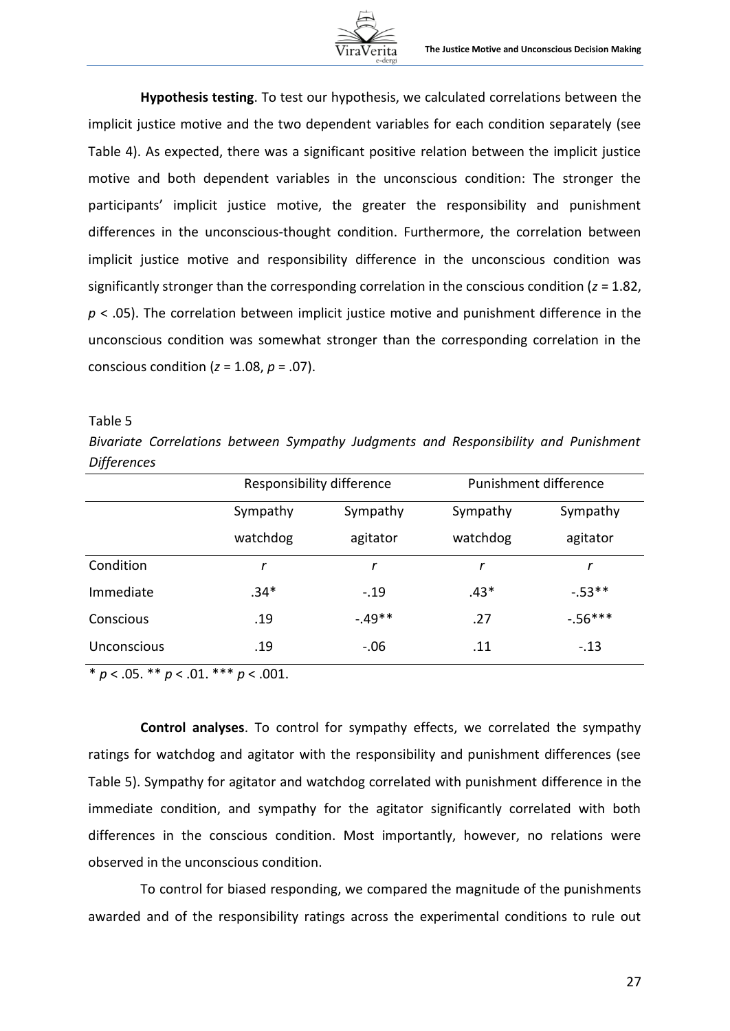

**Hypothesis testing**. To test our hypothesis, we calculated correlations between the implicit justice motive and the two dependent variables for each condition separately (see Table 4). As expected, there was a significant positive relation between the implicit justice motive and both dependent variables in the unconscious condition: The stronger the participants' implicit justice motive, the greater the responsibility and punishment differences in the unconscious-thought condition. Furthermore, the correlation between implicit justice motive and responsibility difference in the unconscious condition was significantly stronger than the corresponding correlation in the conscious condition (*z* = 1.82, *p* < .05). The correlation between implicit justice motive and punishment difference in the unconscious condition was somewhat stronger than the corresponding correlation in the conscious condition (*z* = 1.08, *p* = .07).

### Table 5

*Bivariate Correlations between Sympathy Judgments and Responsibility and Punishment Differences*

|                    | Responsibility difference |           | Punishment difference |            |
|--------------------|---------------------------|-----------|-----------------------|------------|
|                    | Sympathy                  | Sympathy  | Sympathy              | Sympathy   |
|                    | watchdog                  | agitator  | watchdog              | agitator   |
| Condition          | r                         |           |                       | r          |
| Immediate          | $.34*$                    | $-.19$    | $.43*$                | $-.53**$   |
| Conscious          | .19                       | $-0.49**$ | .27                   | $-0.56***$ |
| <b>Unconscious</b> | .19                       | $-.06$    | .11                   | $-.13$     |

 $\overline{\qquad \qquad \neq p < .05. \qquad \neq p < .01. \qquad \neq \neq p < .001.}$ 

**Control analyses**. To control for sympathy effects, we correlated the sympathy ratings for watchdog and agitator with the responsibility and punishment differences (see Table 5). Sympathy for agitator and watchdog correlated with punishment difference in the immediate condition, and sympathy for the agitator significantly correlated with both differences in the conscious condition. Most importantly, however, no relations were observed in the unconscious condition.

To control for biased responding, we compared the magnitude of the punishments awarded and of the responsibility ratings across the experimental conditions to rule out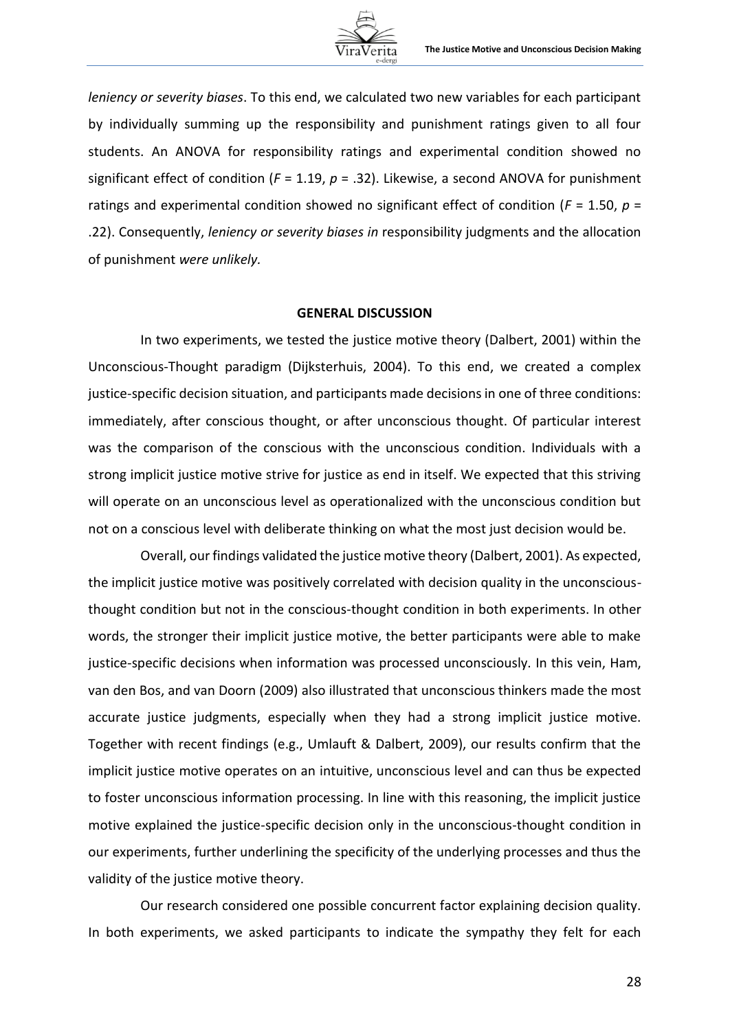*leniency or severity biases*. To this end, we calculated two new variables for each participant by individually summing up the responsibility and punishment ratings given to all four students. An ANOVA for responsibility ratings and experimental condition showed no significant effect of condition (*F* = 1.19, *p* = .32). Likewise, a second ANOVA for punishment ratings and experimental condition showed no significant effect of condition ( $F = 1.50$ ,  $p =$ .22). Consequently, *leniency or severity biases in* responsibility judgments and the allocation of punishment *were unlikely.*

#### **GENERAL DISCUSSION**

In two experiments, we tested the justice motive theory (Dalbert, 2001) within the Unconscious-Thought paradigm (Dijksterhuis, 2004). To this end, we created a complex justice-specific decision situation, and participants made decisions in one of three conditions: immediately, after conscious thought, or after unconscious thought. Of particular interest was the comparison of the conscious with the unconscious condition. Individuals with a strong implicit justice motive strive for justice as end in itself. We expected that this striving will operate on an unconscious level as operationalized with the unconscious condition but not on a conscious level with deliberate thinking on what the most just decision would be.

Overall, our findings validated the justice motive theory (Dalbert, 2001). As expected, the implicit justice motive was positively correlated with decision quality in the unconsciousthought condition but not in the conscious-thought condition in both experiments. In other words, the stronger their implicit justice motive, the better participants were able to make justice-specific decisions when information was processed unconsciously. In this vein, Ham, van den Bos, and van Doorn (2009) also illustrated that unconscious thinkers made the most accurate justice judgments, especially when they had a strong implicit justice motive. Together with recent findings (e.g., Umlauft & Dalbert, 2009), our results confirm that the implicit justice motive operates on an intuitive, unconscious level and can thus be expected to foster unconscious information processing. In line with this reasoning, the implicit justice motive explained the justice-specific decision only in the unconscious-thought condition in our experiments, further underlining the specificity of the underlying processes and thus the validity of the justice motive theory.

Our research considered one possible concurrent factor explaining decision quality. In both experiments, we asked participants to indicate the sympathy they felt for each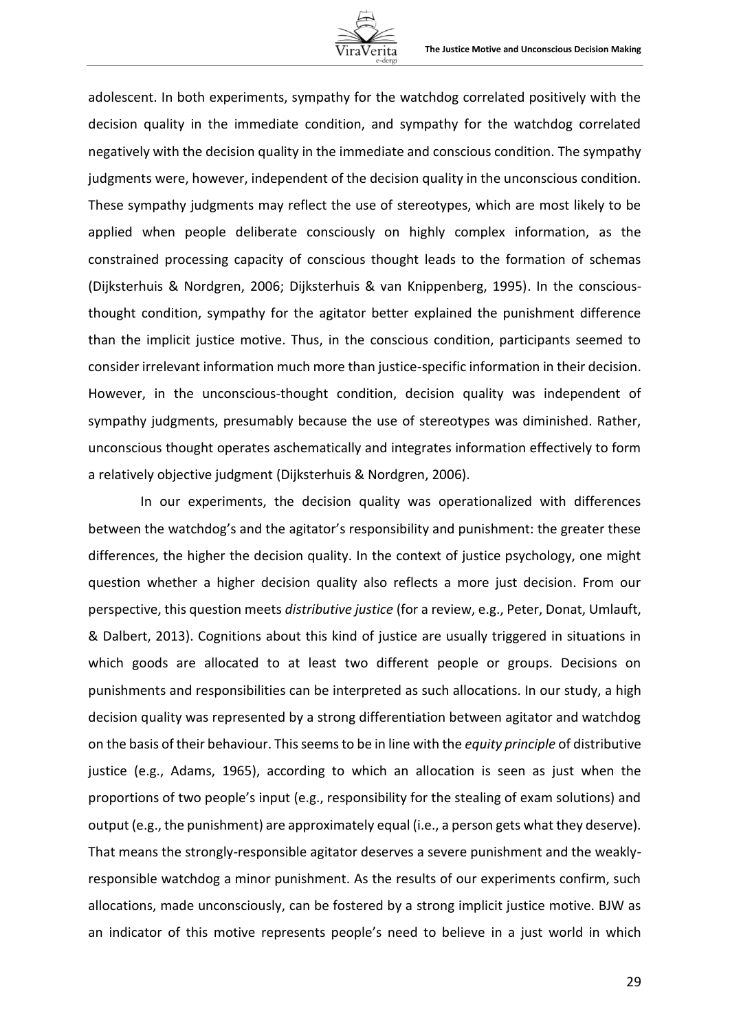

adolescent. In both experiments, sympathy for the watchdog correlated positively with the decision quality in the immediate condition, and sympathy for the watchdog correlated negatively with the decision quality in the immediate and conscious condition. The sympathy judgments were, however, independent of the decision quality in the unconscious condition. These sympathy judgments may reflect the use of stereotypes, which are most likely to be applied when people deliberate consciously on highly complex information, as the constrained processing capacity of conscious thought leads to the formation of schemas (Dijksterhuis & Nordgren, 2006; Dijksterhuis & van Knippenberg, 1995). In the consciousthought condition, sympathy for the agitator better explained the punishment difference than the implicit justice motive. Thus, in the conscious condition, participants seemed to consider irrelevant information much more than justice-specific information in their decision. However, in the unconscious-thought condition, decision quality was independent of sympathy judgments, presumably because the use of stereotypes was diminished. Rather, unconscious thought operates aschematically and integrates information effectively to form a relatively objective judgment (Dijksterhuis & Nordgren, 2006).

In our experiments, the decision quality was operationalized with differences between the watchdog's and the agitator's responsibility and punishment: the greater these differences, the higher the decision quality. In the context of justice psychology, one might question whether a higher decision quality also reflects a more just decision. From our perspective, this question meets *distributive justice* (for a review, e.g., Peter, Donat, Umlauft, & Dalbert, 2013). Cognitions about this kind of justice are usually triggered in situations in which goods are allocated to at least two different people or groups. Decisions on punishments and responsibilities can be interpreted as such allocations. In our study, a high decision quality was represented by a strong differentiation between agitator and watchdog on the basis of their behaviour. This seems to be in line with the *equity principle* of distributive justice (e.g., Adams, 1965), according to which an allocation is seen as just when the proportions of two people's input (e.g., responsibility for the stealing of exam solutions) and output (e.g., the punishment) are approximately equal (i.e., a person gets what they deserve). That means the strongly-responsible agitator deserves a severe punishment and the weaklyresponsible watchdog a minor punishment. As the results of our experiments confirm, such allocations, made unconsciously, can be fostered by a strong implicit justice motive. BJW as an indicator of this motive represents people's need to believe in a just world in which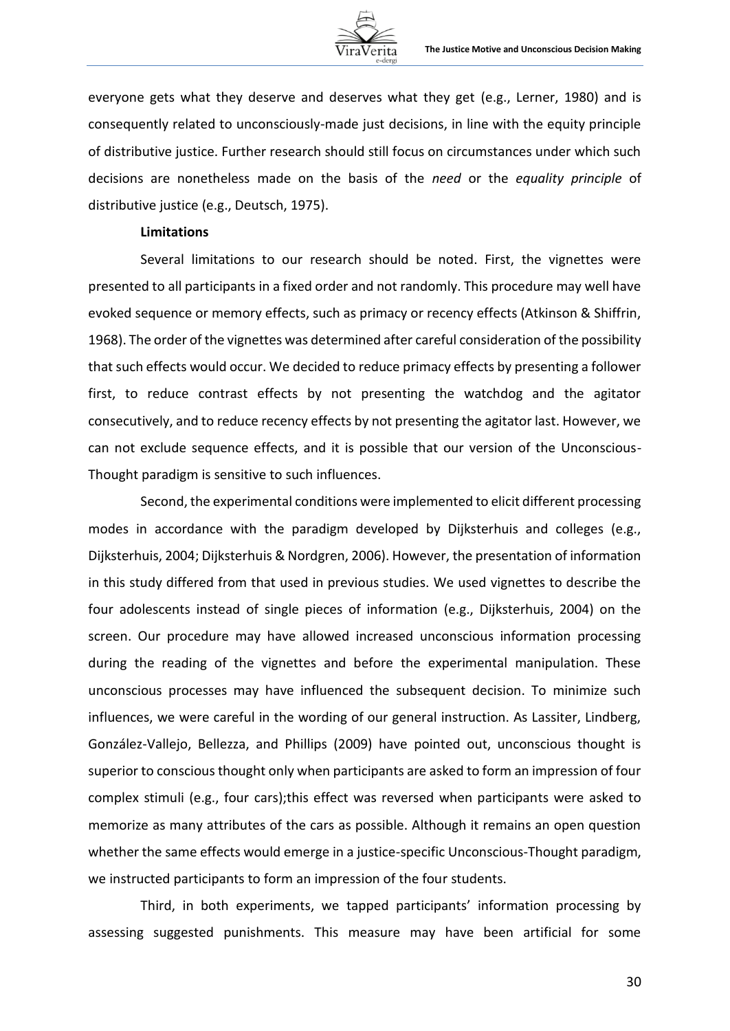

everyone gets what they deserve and deserves what they get (e.g., Lerner, 1980) and is consequently related to unconsciously-made just decisions, in line with the equity principle of distributive justice. Further research should still focus on circumstances under which such decisions are nonetheless made on the basis of the *need* or the *equality principle* of distributive justice (e.g., Deutsch, 1975).

### **Limitations**

Several limitations to our research should be noted. First, the vignettes were presented to all participants in a fixed order and not randomly. This procedure may well have evoked sequence or memory effects, such as primacy or recency effects (Atkinson & Shiffrin, 1968). The order of the vignettes was determined after careful consideration of the possibility that such effects would occur. We decided to reduce primacy effects by presenting a follower first, to reduce contrast effects by not presenting the watchdog and the agitator consecutively, and to reduce recency effects by not presenting the agitator last. However, we can not exclude sequence effects, and it is possible that our version of the Unconscious-Thought paradigm is sensitive to such influences.

Second, the experimental conditions were implemented to elicit different processing modes in accordance with the paradigm developed by Dijksterhuis and colleges (e.g., Dijksterhuis, 2004; Dijksterhuis & Nordgren, 2006). However, the presentation of information in this study differed from that used in previous studies. We used vignettes to describe the four adolescents instead of single pieces of information (e.g., Dijksterhuis, 2004) on the screen. Our procedure may have allowed increased unconscious information processing during the reading of the vignettes and before the experimental manipulation. These unconscious processes may have influenced the subsequent decision. To minimize such influences, we were careful in the wording of our general instruction. As Lassiter, Lindberg, González-Vallejo, Bellezza, and Phillips (2009) have pointed out, unconscious thought is superior to conscious thought only when participants are asked to form an impression of four complex stimuli (e.g., four cars);this effect was reversed when participants were asked to memorize as many attributes of the cars as possible. Although it remains an open question whether the same effects would emerge in a justice-specific Unconscious-Thought paradigm, we instructed participants to form an impression of the four students.

Third, in both experiments, we tapped participants' information processing by assessing suggested punishments. This measure may have been artificial for some

30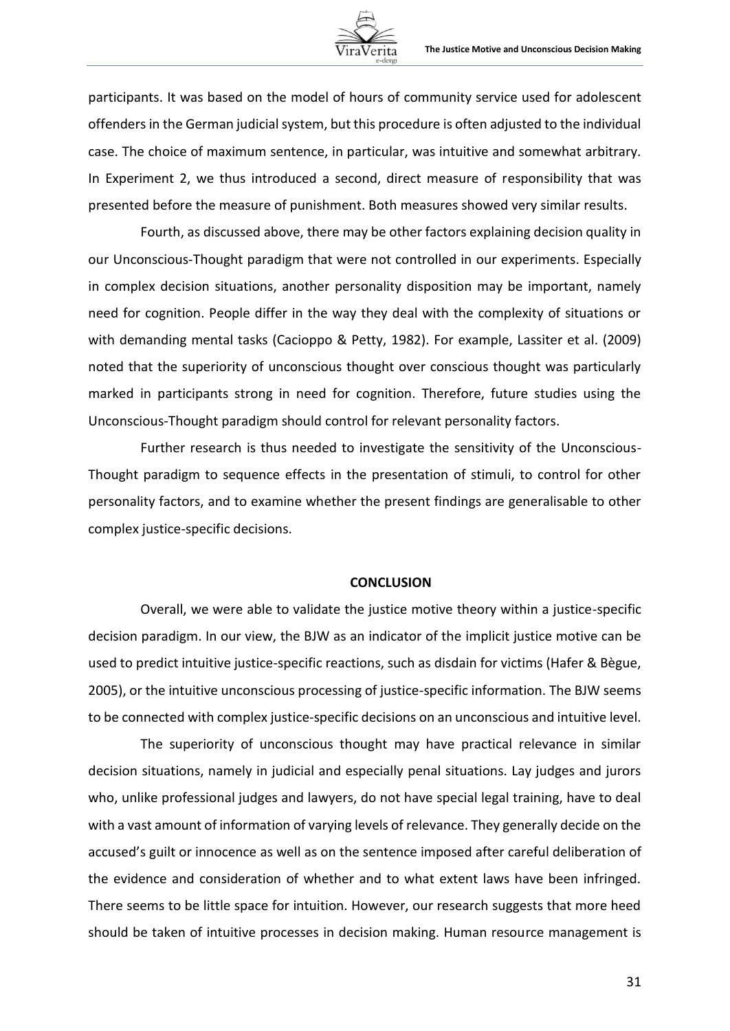participants. It was based on the model of hours of community service used for adolescent offenders in the German judicial system, but this procedure is often adjusted to the individual case. The choice of maximum sentence, in particular, was intuitive and somewhat arbitrary. In Experiment 2, we thus introduced a second, direct measure of responsibility that was presented before the measure of punishment. Both measures showed very similar results.

Fourth, as discussed above, there may be other factors explaining decision quality in our Unconscious-Thought paradigm that were not controlled in our experiments. Especially in complex decision situations, another personality disposition may be important, namely need for cognition. People differ in the way they deal with the complexity of situations or with demanding mental tasks (Cacioppo & Petty, 1982). For example, Lassiter et al. (2009) noted that the superiority of unconscious thought over conscious thought was particularly marked in participants strong in need for cognition. Therefore, future studies using the Unconscious-Thought paradigm should control for relevant personality factors.

Further research is thus needed to investigate the sensitivity of the Unconscious-Thought paradigm to sequence effects in the presentation of stimuli, to control for other personality factors, and to examine whether the present findings are generalisable to other complex justice-specific decisions.

#### **CONCLUSION**

Overall, we were able to validate the justice motive theory within a justice-specific decision paradigm. In our view, the BJW as an indicator of the implicit justice motive can be used to predict intuitive justice-specific reactions, such as disdain for victims (Hafer & Bègue, 2005), or the intuitive unconscious processing of justice-specific information. The BJW seems to be connected with complex justice-specific decisions on an unconscious and intuitive level.

The superiority of unconscious thought may have practical relevance in similar decision situations, namely in judicial and especially penal situations. Lay judges and jurors who, unlike professional judges and lawyers, do not have special legal training, have to deal with a vast amount of information of varying levels of relevance. They generally decide on the accused's guilt or innocence as well as on the sentence imposed after careful deliberation of the evidence and consideration of whether and to what extent laws have been infringed. There seems to be little space for intuition. However, our research suggests that more heed should be taken of intuitive processes in decision making. Human resource management is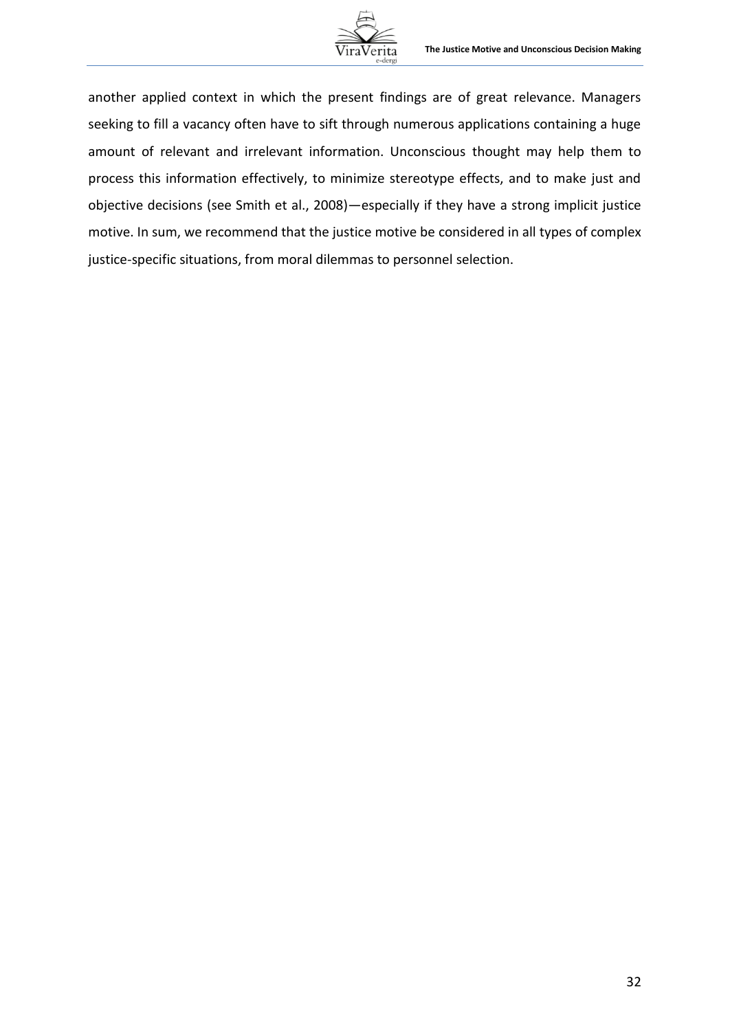

another applied context in which the present findings are of great relevance. Managers seeking to fill a vacancy often have to sift through numerous applications containing a huge amount of relevant and irrelevant information. Unconscious thought may help them to process this information effectively, to minimize stereotype effects, and to make just and objective decisions (see Smith et al., 2008)—especially if they have a strong implicit justice motive. In sum, we recommend that the justice motive be considered in all types of complex justice-specific situations, from moral dilemmas to personnel selection.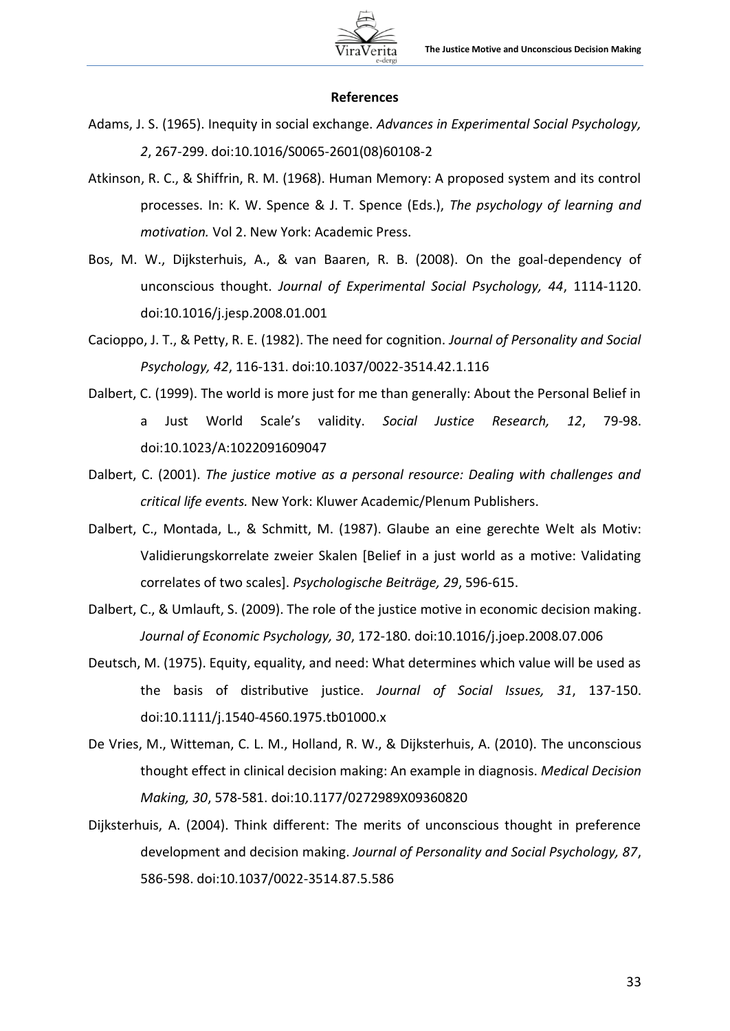

#### **References**

- Adams, J. S. (1965). Inequity in social exchange. *Advances in Experimental Social Psychology, 2*, 267-299. doi:10.1016/S0065-2601(08)60108-2
- Atkinson, R. C., & Shiffrin, R. M. (1968). Human Memory: A proposed system and its control processes. In: K. W. Spence & J. T. Spence (Eds.), *The psychology of learning and motivation.* Vol 2. New York: Academic Press.
- Bos, M. W., Dijksterhuis, A., & van Baaren, R. B. (2008). On the goal-dependency of unconscious thought. *Journal of Experimental Social Psychology, 44*, 1114-1120. doi:10.1016/j.jesp.2008.01.001
- Cacioppo, J. T., & Petty, R. E. (1982). The need for cognition. *Journal of Personality and Social Psychology, 42*, 116-131. doi:10.1037/0022-3514.42.1.116
- Dalbert, C. (1999). The world is more just for me than generally: About the Personal Belief in a Just World Scale's validity. *Social Justice Research, 12*, 79-98. doi:10.1023/A:1022091609047
- Dalbert, C. (2001). *The justice motive as a personal resource: Dealing with challenges and critical life events.* New York: Kluwer Academic/Plenum Publishers.
- Dalbert, C., Montada, L., & Schmitt, M. (1987). Glaube an eine gerechte Welt als Motiv: Validierungskorrelate zweier Skalen [Belief in a just world as a motive: Validating correlates of two scales]. *Psychologische Beiträge, 29*, 596-615.
- Dalbert, C., & Umlauft, S. (2009). The role of the justice motive in economic decision making. *Journal of Economic Psychology, 30*, 172-180. doi:10.1016/j.joep.2008.07.006
- Deutsch, M. (1975). Equity, equality, and need: What determines which value will be used as the basis of distributive justice. *Journal of Social Issues, 31*, 137-150. doi:10.1111/j.1540-4560.1975.tb01000.x
- De Vries, M., Witteman, C. L. M., Holland, R. W., & Dijksterhuis, A. (2010). The unconscious thought effect in clinical decision making: An example in diagnosis. *Medical Decision Making, 30*, 578-581. doi:10.1177/0272989X09360820
- Dijksterhuis, A. (2004). Think different: The merits of unconscious thought in preference development and decision making. *Journal of Personality and Social Psychology, 87*, 586-598. doi:10.1037/0022-3514.87.5.586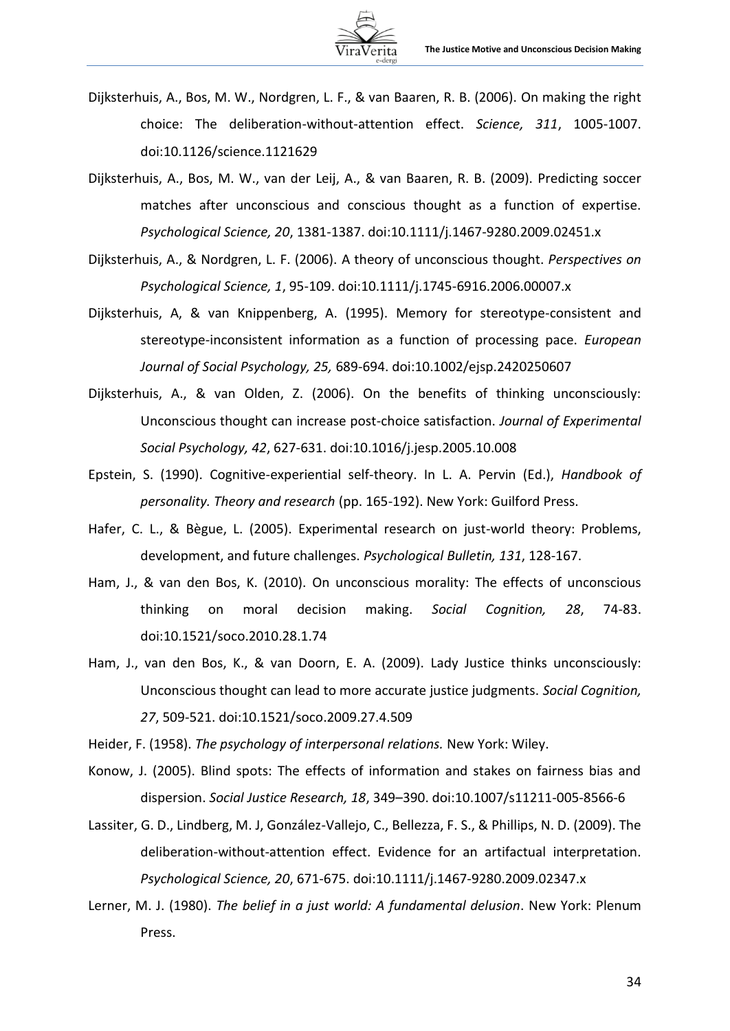

- Dijksterhuis, A., Bos, M. W., Nordgren, L. F., & van Baaren, R. B. (2006). On making the right choice: The deliberation-without-attention effect. *Science, 311*, 1005-1007. doi:10.1126/science.1121629
- Dijksterhuis, A., Bos, M. W., van der Leij, A., & van Baaren, R. B. (2009). Predicting soccer matches after unconscious and conscious thought as a function of expertise. *Psychological Science, 20*, 1381-1387. doi:10.1111/j.1467-9280.2009.02451.x
- Dijksterhuis, A., & Nordgren, L. F. (2006). A theory of unconscious thought. *Perspectives on Psychological Science, 1*, 95-109. doi:10.1111/j.1745-6916.2006.00007.x
- Dijksterhuis, A, & van Knippenberg, A. (1995). Memory for stereotype-consistent and stereotype-inconsistent information as a function of processing pace. *European Journal of Social Psychology, 25,* 689-694. doi:10.1002/ejsp.2420250607
- Dijksterhuis, A., & van Olden, Z. (2006). On the benefits of thinking unconsciously: Unconscious thought can increase post-choice satisfaction. *Journal of Experimental Social Psychology, 42*, 627-631. doi:10.1016/j.jesp.2005.10.008
- Epstein, S. (1990). Cognitive-experiential self-theory. In L. A. Pervin (Ed.), *Handbook of personality. Theory and research* (pp. 165-192). New York: Guilford Press.
- Hafer, C. L., & Bègue, L. (2005). Experimental research on just-world theory: Problems, development, and future challenges. *Psychological Bulletin, 131*, 128-167.
- Ham, J., & van den Bos, K. (2010). On unconscious morality: The effects of unconscious thinking on moral decision making. *Social Cognition, 28*, 74-83. doi:10.1521/soco.2010.28.1.74
- Ham, J., van den Bos, K., & van Doorn, E. A. (2009). Lady Justice thinks unconsciously: Unconscious thought can lead to more accurate justice judgments. *Social Cognition, 27*, 509-521. doi:10.1521/soco.2009.27.4.509

Heider, F. (1958). *The psychology of interpersonal relations.* New York: Wiley.

- Konow, J. (2005). Blind spots: The effects of information and stakes on fairness bias and dispersion. *Social Justice Research, 18*, 349–390. doi:10.1007/s11211-005-8566-6
- Lassiter, G. D., Lindberg, M. J, González-Vallejo, C., Bellezza, F. S., & Phillips, N. D. (2009). The deliberation-without-attention effect. Evidence for an artifactual interpretation. *Psychological Science, 20*, 671-675. doi:10.1111/j.1467-9280.2009.02347.x
- Lerner, M. J. (1980). *The belief in a just world: A fundamental delusion*. New York: Plenum Press.